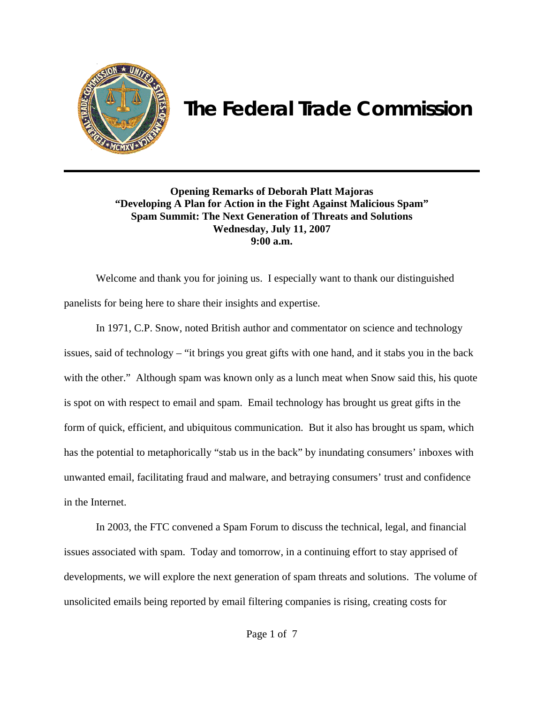

## **The Federal Trade Commission**

**Opening Remarks of Deborah Platt Majoras "Developing A Plan for Action in the Fight Against Malicious Spam" Spam Summit: The Next Generation of Threats and Solutions Wednesday, July 11, 2007 9:00 a.m.**

Welcome and thank you for joining us. I especially want to thank our distinguished panelists for being here to share their insights and expertise.

In 1971, C.P. Snow, noted British author and commentator on science and technology issues, said of technology – "it brings you great gifts with one hand, and it stabs you in the back with the other." Although spam was known only as a lunch meat when Snow said this, his quote is spot on with respect to email and spam. Email technology has brought us great gifts in the form of quick, efficient, and ubiquitous communication. But it also has brought us spam, which has the potential to metaphorically "stab us in the back" by inundating consumers' inboxes with unwanted email, facilitating fraud and malware, and betraying consumers' trust and confidence in the Internet.

In 2003, the FTC convened a Spam Forum to discuss the technical, legal, and financial issues associated with spam. Today and tomorrow, in a continuing effort to stay apprised of developments, we will explore the next generation of spam threats and solutions. The volume of unsolicited emails being reported by email filtering companies is rising, creating costs for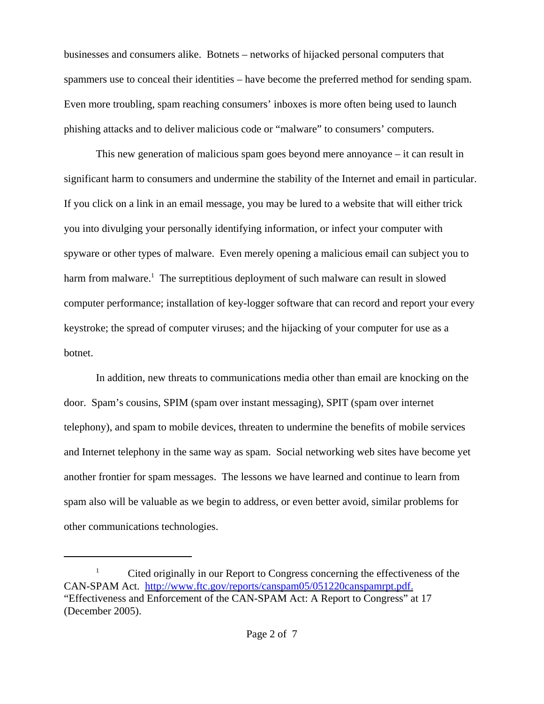businesses and consumers alike. Botnets – networks of hijacked personal computers that spammers use to conceal their identities – have become the preferred method for sending spam. Even more troubling, spam reaching consumers' inboxes is more often being used to launch phishing attacks and to deliver malicious code or "malware" to consumers' computers.

This new generation of malicious spam goes beyond mere annoyance – it can result in significant harm to consumers and undermine the stability of the Internet and email in particular. If you click on a link in an email message, you may be lured to a website that will either trick you into divulging your personally identifying information, or infect your computer with spyware or other types of malware. Even merely opening a malicious email can subject you to harm from malware.<sup>1</sup> The surreptitious deployment of such malware can result in slowed computer performance; installation of key-logger software that can record and report your every keystroke; the spread of computer viruses; and the hijacking of your computer for use as a botnet.

In addition, new threats to communications media other than email are knocking on the door. Spam's cousins, SPIM (spam over instant messaging), SPIT (spam over internet telephony), and spam to mobile devices, threaten to undermine the benefits of mobile services and Internet telephony in the same way as spam. Social networking web sites have become yet another frontier for spam messages. The lessons we have learned and continue to learn from spam also will be valuable as we begin to address, or even better avoid, similar problems for other communications technologies.

<sup>&</sup>lt;sup>1</sup> Cited originally in our Report to Congress concerning the effectiveness of the CAN-SPAM Act. http://www.ftc.gov/reports/canspam05/051220canspamrpt.pdf. "Effectiveness and Enforcement of the CAN-SPAM Act: A Report to Congress" at 17 (December 2005).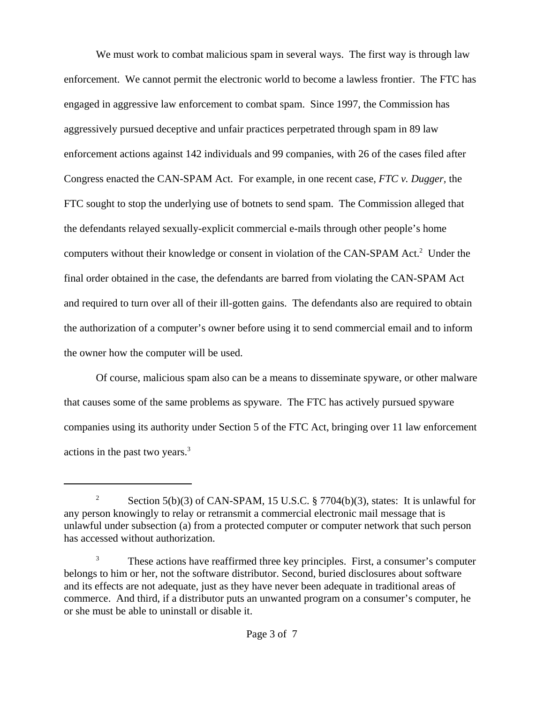We must work to combat malicious spam in several ways. The first way is through law enforcement. We cannot permit the electronic world to become a lawless frontier. The FTC has engaged in aggressive law enforcement to combat spam. Since 1997, the Commission has aggressively pursued deceptive and unfair practices perpetrated through spam in 89 law enforcement actions against 142 individuals and 99 companies, with 26 of the cases filed after Congress enacted the CAN-SPAM Act. For example, in one recent case, *FTC v. Dugger,* the FTC sought to stop the underlying use of botnets to send spam. The Commission alleged that the defendants relayed sexually-explicit commercial e-mails through other people's home computers without their knowledge or consent in violation of the CAN-SPAM Act.<sup>2</sup> Under the final order obtained in the case, the defendants are barred from violating the CAN-SPAM Act and required to turn over all of their ill-gotten gains. The defendants also are required to obtain the authorization of a computer's owner before using it to send commercial email and to inform the owner how the computer will be used.

Of course, malicious spam also can be a means to disseminate spyware, or other malware that causes some of the same problems as spyware. The FTC has actively pursued spyware companies using its authority under Section 5 of the FTC Act, bringing over 11 law enforcement actions in the past two years.<sup>3</sup>

<sup>&</sup>lt;sup>2</sup> Section 5(b)(3) of CAN-SPAM, 15 U.S.C. § 7704(b)(3), states: It is unlawful for any person knowingly to relay or retransmit a commercial electronic mail message that is unlawful under subsection (a) from a protected computer or computer network that such person has accessed without authorization.

<sup>3</sup> These actions have reaffirmed three key principles. First, a consumer's computer belongs to him or her, not the software distributor. Second, buried disclosures about software and its effects are not adequate, just as they have never been adequate in traditional areas of commerce. And third, if a distributor puts an unwanted program on a consumer's computer, he or she must be able to uninstall or disable it.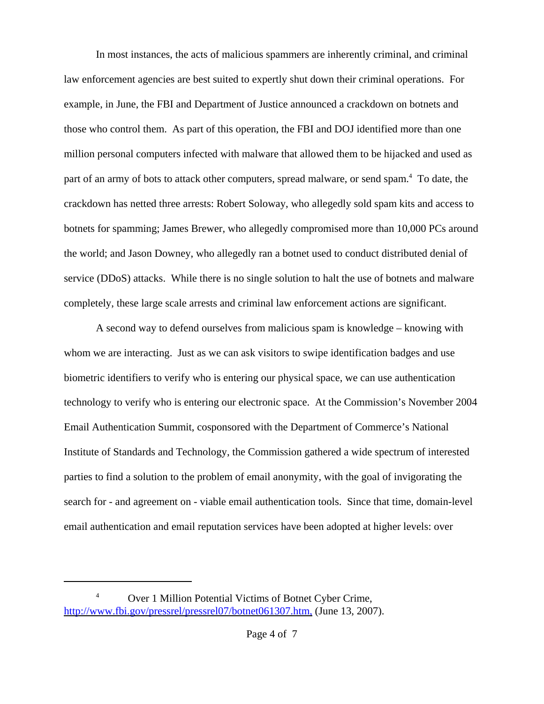In most instances, the acts of malicious spammers are inherently criminal, and criminal law enforcement agencies are best suited to expertly shut down their criminal operations. For example, in June, the FBI and Department of Justice announced a crackdown on botnets and those who control them. As part of this operation, the FBI and DOJ identified more than one million personal computers infected with malware that allowed them to be hijacked and used as part of an army of bots to attack other computers, spread malware, or send spam.<sup>4</sup> To date, the crackdown has netted three arrests: Robert Soloway, who allegedly sold spam kits and access to botnets for spamming; James Brewer, who allegedly compromised more than 10,000 PCs around the world; and Jason Downey, who allegedly ran a botnet used to conduct distributed denial of service (DDoS) attacks. While there is no single solution to halt the use of botnets and malware completely, these large scale arrests and criminal law enforcement actions are significant.

A second way to defend ourselves from malicious spam is knowledge – knowing with whom we are interacting. Just as we can ask visitors to swipe identification badges and use biometric identifiers to verify who is entering our physical space, we can use authentication technology to verify who is entering our electronic space. At the Commission's November 2004 Email Authentication Summit, cosponsored with the Department of Commerce's National Institute of Standards and Technology, the Commission gathered a wide spectrum of interested parties to find a solution to the problem of email anonymity, with the goal of invigorating the search for - and agreement on - viable email authentication tools. Since that time, domain-level email authentication and email reputation services have been adopted at higher levels: over

<sup>4</sup> Over 1 Million Potential Victims of Botnet Cyber Crime, http://www.fbi.gov/pressrel/pressrel07/botnet061307.htm, (June 13, 2007).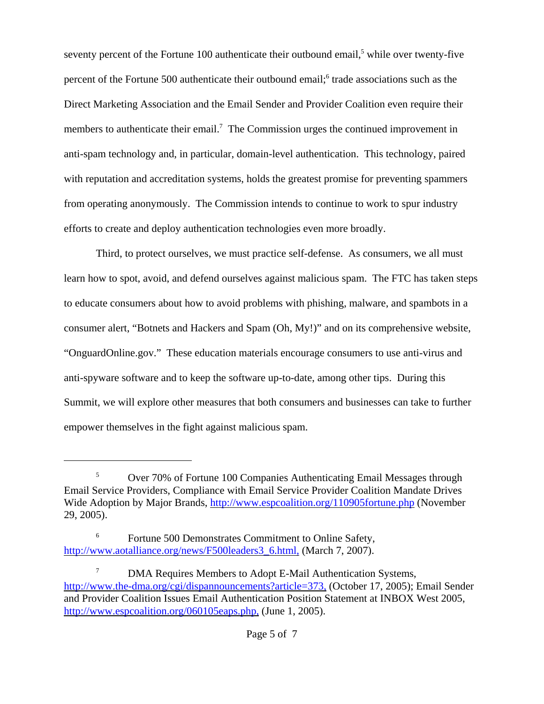seventy percent of the Fortune 100 authenticate their outbound email,<sup>5</sup> while over twenty-five percent of the Fortune 500 authenticate their outbound email;<sup>6</sup> trade associations such as the Direct Marketing Association and the Email Sender and Provider Coalition even require their members to authenticate their email.<sup>7</sup> The Commission urges the continued improvement in anti-spam technology and, in particular, domain-level authentication. This technology, paired with reputation and accreditation systems, holds the greatest promise for preventing spammers from operating anonymously. The Commission intends to continue to work to spur industry efforts to create and deploy authentication technologies even more broadly.

Third, to protect ourselves, we must practice self-defense. As consumers, we all must learn how to spot, avoid, and defend ourselves against malicious spam. The FTC has taken steps to educate consumers about how to avoid problems with phishing, malware, and spambots in a consumer alert, "Botnets and Hackers and Spam (Oh, My!)" and on its comprehensive website, "OnguardOnline.gov." These education materials encourage consumers to use anti-virus and anti-spyware software and to keep the software up-to-date, among other tips. During this Summit, we will explore other measures that both consumers and businesses can take to further empower themselves in the fight against malicious spam.

<sup>&</sup>lt;sup>5</sup> Over 70% of Fortune 100 Companies Authenticating Email Messages through Email Service Providers, Compliance with Email Service Provider Coalition Mandate Drives Wide Adoption by Major Brands, http://www.espcoalition.org/110905fortune.php (November 29, 2005).

Fortune 500 Demonstrates Commitment to Online Safety, http://www.aotalliance.org/news/F500leaders3\_6.html, (March 7, 2007).

<sup>&</sup>lt;sup>7</sup> DMA Requires Members to Adopt E-Mail Authentication Systems, http://www.the-dma.org/cgi/dispannouncements?article=373, (October 17, 2005); Email Sender and Provider Coalition Issues Email Authentication Position Statement at INBOX West 2005, http://www.espcoalition.org/060105eaps.php. (June 1, 2005).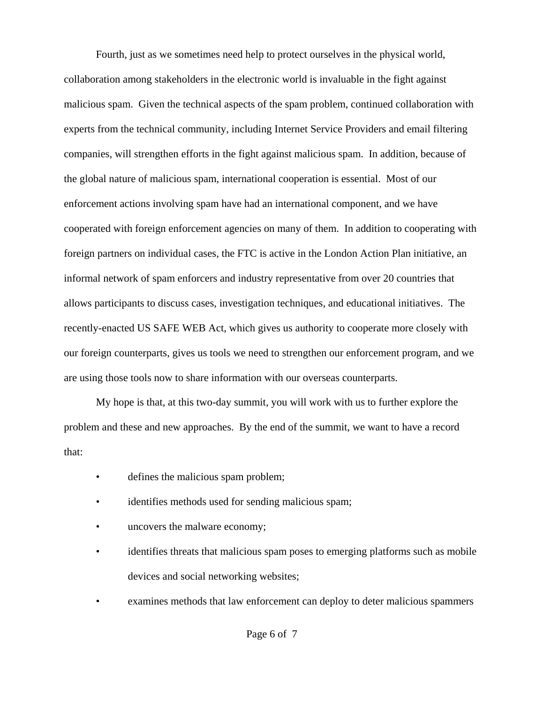Fourth, just as we sometimes need help to protect ourselves in the physical world, collaboration among stakeholders in the electronic world is invaluable in the fight against malicious spam. Given the technical aspects of the spam problem, continued collaboration with experts from the technical community, including Internet Service Providers and email filtering companies, will strengthen efforts in the fight against malicious spam. In addition, because of the global nature of malicious spam, international cooperation is essential. Most of our enforcement actions involving spam have had an international component, and we have cooperated with foreign enforcement agencies on many of them. In addition to cooperating with foreign partners on individual cases, the FTC is active in the London Action Plan initiative, an informal network of spam enforcers and industry representative from over 20 countries that allows participants to discuss cases, investigation techniques, and educational initiatives. The recently-enacted US SAFE WEB Act, which gives us authority to cooperate more closely with our foreign counterparts, gives us tools we need to strengthen our enforcement program, and we are using those tools now to share information with our overseas counterparts.

My hope is that, at this two-day summit, you will work with us to further explore the problem and these and new approaches. By the end of the summit, we want to have a record that:

- defines the malicious spam problem;
- identifies methods used for sending malicious spam;
- uncovers the malware economy;
- identifies threats that malicious spam poses to emerging platforms such as mobile devices and social networking websites;
- examines methods that law enforcement can deploy to deter malicious spammers